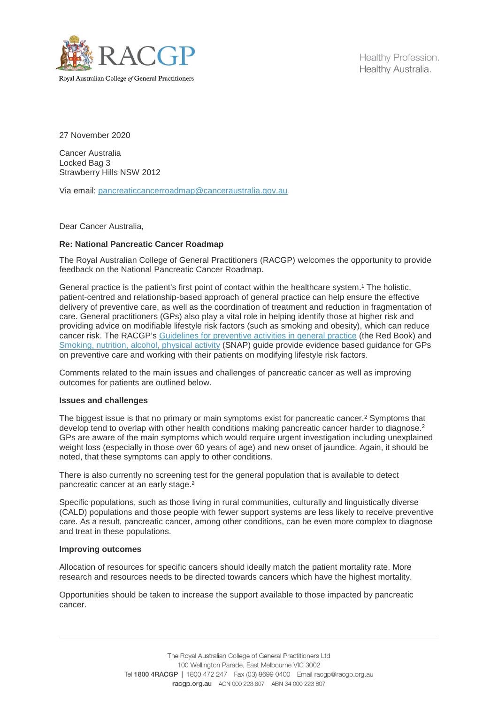

Healthy Profession. Healthy Australia.

27 November 2020

Cancer Australia Locked Bag 3 Strawberry Hills NSW 2012

Via email: [pancreaticcancerroadmap@canceraustralia.gov.au](mailto:pancreaticcancerroadmap@canceraustralia.gov.au)

Dear Cancer Australia,

## **Re: National Pancreatic Cancer Roadmap**

The Royal Australian College of General Practitioners (RACGP) welcomes the opportunity to provide feedback on the National Pancreatic Cancer Roadmap.

General practice is the patient's first point of contact within the healthcare system.<sup>1</sup> The holistic, patient-centred and relationship-based approach of general practice can help ensure the effective delivery of preventive care, as well as the coordination of treatment and reduction in fragmentation of care. General practitioners (GPs) also play a vital role in helping identify those at higher risk and providing advice on modifiable lifestyle risk factors (such as smoking and obesity), which can reduce cancer risk. The RACGP's [Guidelines for preventive activities in general practice](https://www.racgp.org.au/clinical-resources/clinical-guidelines/key-racgp-guidelines/view-all-racgp-guidelines/guidelines-for-preventive-activities-in-general-pr/preamble/introduction) (the Red Book) and [Smoking, nutrition, alcohol, physical activity](https://www.racgp.org.au/clinical-resources/clinical-guidelines/key-racgp-guidelines/view-all-racgp-guidelines/snap) (SNAP) guide provide evidence based guidance for GPs on preventive care and working with their patients on modifying lifestyle risk factors.

Comments related to the main issues and challenges of pancreatic cancer as well as improving outcomes for patients are outlined below.

## **Issues and challenges**

The biggest issue is that no primary or main symptoms exist for pancreatic cancer. <sup>2</sup> Symptoms that develop tend to overlap with other health conditions making pancreatic cancer harder to diagnose.<sup>2</sup> GPs are aware of the main symptoms which would require urgent investigation including unexplained weight loss (especially in those over 60 years of age) and new onset of jaundice. Again, it should be noted, that these symptoms can apply to other conditions.

There is also currently no screening test for the general population that is available to detect pancreatic cancer at an early stage.<sup>2</sup>

Specific populations, such as those living in rural communities, culturally and linguistically diverse (CALD) populations and those people with fewer support systems are less likely to receive preventive care. As a result, pancreatic cancer, among other conditions, can be even more complex to diagnose and treat in these populations.

## **Improving outcomes**

Allocation of resources for specific cancers should ideally match the patient mortality rate. More research and resources needs to be directed towards cancers which have the highest mortality.

Opportunities should be taken to increase the support available to those impacted by pancreatic cancer.